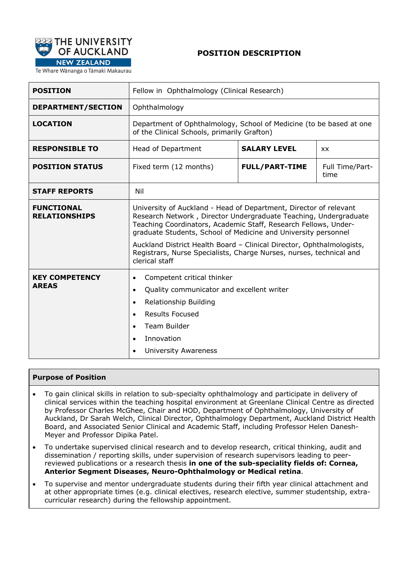

# **POSITION DESCRIPTION**

Te Whare Wānanga o Tāmaki Makaurau

| <b>POSITION</b>                           | Fellow in Ophthalmology (Clinical Research)                                                                                                                                                                                                                                                                                                                                                                                                  |                       |                         |  |  |
|-------------------------------------------|----------------------------------------------------------------------------------------------------------------------------------------------------------------------------------------------------------------------------------------------------------------------------------------------------------------------------------------------------------------------------------------------------------------------------------------------|-----------------------|-------------------------|--|--|
| <b>DEPARTMENT/SECTION</b>                 | Ophthalmology                                                                                                                                                                                                                                                                                                                                                                                                                                |                       |                         |  |  |
| <b>LOCATION</b>                           | Department of Ophthalmology, School of Medicine (to be based at one<br>of the Clinical Schools, primarily Grafton)                                                                                                                                                                                                                                                                                                                           |                       |                         |  |  |
| <b>RESPONSIBLE TO</b>                     | Head of Department                                                                                                                                                                                                                                                                                                                                                                                                                           | <b>SALARY LEVEL</b>   | <b>XX</b>               |  |  |
| <b>POSITION STATUS</b>                    | Fixed term (12 months)                                                                                                                                                                                                                                                                                                                                                                                                                       | <b>FULL/PART-TIME</b> | Full Time/Part-<br>time |  |  |
| <b>STAFF REPORTS</b>                      | Nil                                                                                                                                                                                                                                                                                                                                                                                                                                          |                       |                         |  |  |
| <b>FUNCTIONAL</b><br><b>RELATIONSHIPS</b> | University of Auckland - Head of Department, Director of relevant<br>Research Network, Director Undergraduate Teaching, Undergraduate<br>Teaching Coordinators, Academic Staff, Research Fellows, Under-<br>graduate Students, School of Medicine and University personnel<br>Auckland District Health Board - Clinical Director, Ophthalmologists,<br>Registrars, Nurse Specialists, Charge Nurses, nurses, technical and<br>clerical staff |                       |                         |  |  |
| <b>KEY COMPETENCY</b><br><b>AREAS</b>     | Competent critical thinker<br>$\bullet$<br>Quality communicator and excellent writer<br>$\bullet$<br>Relationship Building<br>$\bullet$<br><b>Results Focused</b><br>$\bullet$<br>Team Builder<br>$\bullet$<br>Innovation<br>$\bullet$<br><b>University Awareness</b><br>$\bullet$                                                                                                                                                           |                       |                         |  |  |

#### **Purpose of Position**

- To gain clinical skills in relation to sub-specialty ophthalmology and participate in delivery of clinical services within the teaching hospital environment at Greenlane Clinical Centre as directed by Professor Charles McGhee, Chair and HOD, Department of Ophthalmology, University of Auckland, Dr Sarah Welch, Clinical Director, Ophthalmology Department, Auckland District Health Board, and Associated Senior Clinical and Academic Staff, including Professor Helen Danesh-Meyer and Professor Dipika Patel.
- To undertake supervised clinical research and to develop research, critical thinking, audit and dissemination / reporting skills, under supervision of research supervisors leading to peerreviewed publications or a research thesis **in one of the sub-speciality fields of: Cornea, Anterior Segment Diseases, Neuro-Ophthalmology or Medical retina**.
- To supervise and mentor undergraduate students during their fifth year clinical attachment and at other appropriate times (e.g. clinical electives, research elective, summer studentship, extracurricular research) during the fellowship appointment.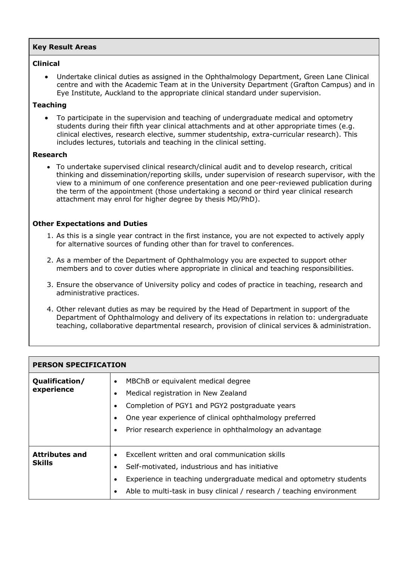## **Key Result Areas**

## **Clinical**

• Undertake clinical duties as assigned in the Ophthalmology Department, Green Lane Clinical centre and with the Academic Team at in the University Department (Grafton Campus) and in Eye Institute, Auckland to the appropriate clinical standard under supervision.

## **Teaching**

• To participate in the supervision and teaching of undergraduate medical and optometry students during their fifth year clinical attachments and at other appropriate times (e.g. clinical electives, research elective, summer studentship, extra-curricular research). This includes lectures, tutorials and teaching in the clinical setting.

#### **Research**

• To undertake supervised clinical research/clinical audit and to develop research, critical thinking and dissemination/reporting skills, under supervision of research supervisor, with the view to a minimum of one conference presentation and one peer-reviewed publication during the term of the appointment (those undertaking a second or third year clinical research attachment may enrol for higher degree by thesis MD/PhD).

#### **Other Expectations and Duties**

- 1. As this is a single year contract in the first instance, you are not expected to actively apply for alternative sources of funding other than for travel to conferences.
- 2. As a member of the Department of Ophthalmology you are expected to support other members and to cover duties where appropriate in clinical and teaching responsibilities.
- 3. Ensure the observance of University policy and codes of practice in teaching, research and administrative practices.
- 4. Other relevant duties as may be required by the Head of Department in support of the Department of Ophthalmology and delivery of its expectations in relation to: undergraduate teaching, collaborative departmental research, provision of clinical services & administration.

| <b>PERSON SPECIFICATION</b>            |                                                                                                                                                                                                                                                                                                                    |  |  |  |
|----------------------------------------|--------------------------------------------------------------------------------------------------------------------------------------------------------------------------------------------------------------------------------------------------------------------------------------------------------------------|--|--|--|
| Qualification/<br>experience           | MBChB or equivalent medical degree<br>$\bullet$<br>Medical registration in New Zealand<br>$\bullet$<br>Completion of PGY1 and PGY2 postgraduate years<br>$\bullet$<br>One year experience of clinical ophthalmology preferred<br>$\bullet$<br>Prior research experience in ophthalmology an advantage<br>$\bullet$ |  |  |  |
| <b>Attributes and</b><br><b>Skills</b> | Excellent written and oral communication skills<br>$\bullet$<br>Self-motivated, industrious and has initiative<br>$\bullet$<br>Experience in teaching undergraduate medical and optometry students<br>$\bullet$<br>Able to multi-task in busy clinical / research / teaching environment<br>$\bullet$              |  |  |  |